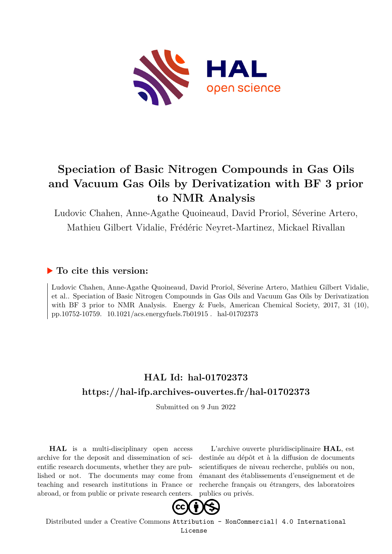

# **Speciation of Basic Nitrogen Compounds in Gas Oils and Vacuum Gas Oils by Derivatization with BF 3 prior to NMR Analysis**

Ludovic Chahen, Anne-Agathe Quoineaud, David Proriol, Séverine Artero, Mathieu Gilbert Vidalie, Frédéric Neyret-Martinez, Mickael Rivallan

## **To cite this version:**

Ludovic Chahen, Anne-Agathe Quoineaud, David Proriol, Séverine Artero, Mathieu Gilbert Vidalie, et al.. Speciation of Basic Nitrogen Compounds in Gas Oils and Vacuum Gas Oils by Derivatization with BF 3 prior to NMR Analysis. Energy & Fuels, American Chemical Society, 2017, 31 (10), pp.10752-10759. 10.1021/acs.energyfuels.7b01915. hal-01702373

# **HAL Id: hal-01702373 <https://hal-ifp.archives-ouvertes.fr/hal-01702373>**

Submitted on 9 Jun 2022

**HAL** is a multi-disciplinary open access archive for the deposit and dissemination of scientific research documents, whether they are published or not. The documents may come from teaching and research institutions in France or abroad, or from public or private research centers.

L'archive ouverte pluridisciplinaire **HAL**, est destinée au dépôt et à la diffusion de documents scientifiques de niveau recherche, publiés ou non, émanant des établissements d'enseignement et de recherche français ou étrangers, des laboratoires publics ou privés.



Distributed under a Creative Commons [Attribution - NonCommercial| 4.0 International](http://creativecommons.org/licenses/by-nc/4.0/) [License](http://creativecommons.org/licenses/by-nc/4.0/)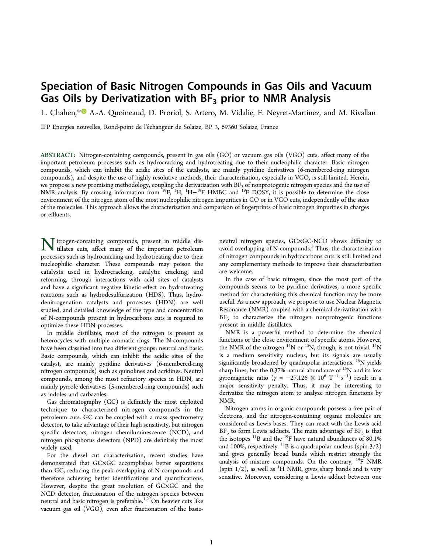# Speciation of Basic Nitrogen Compounds in Gas Oils and Vacuum Gas Oils by Derivatization with  $BF_3$  prior to NMR Analysis

L. Chahen, [\\*](#page-7-0)<sup>®</sup> A.-A. Quoineaud, D. Proriol, S. Artero, M. Vidalie, F. Neyret-Martinez, and M. Rivallan

IFP Energies nouvelles, Rond-point de l'echangeur de Solaize, BP 3, 69360 Solaize, France ́

ABSTRACT: Nitrogen-containing compounds, present in gas oils (GO) or vacuum gas oils (VGO) cuts, affect many of the important petroleum processes such as hydrocracking and hydrotreating due to their nucleophilic character. Basic nitrogen compounds, which can inhibit the acidic sites of the catalysts, are mainly pyridine derivatives (6-membered-ring nitrogen compounds), and despite the use of highly resolutive methods, their characterization, especially in VGO, is still limited. Herein, we propose a new promising methodology, coupling the derivatization with  $\rm BF_3$  of nonprotogenic nitrogen species and the use of NMR analysis. By crossing information from <sup>19</sup>F, <sup>1</sup>H, <sup>1</sup>H–<sup>19</sup>F HMBC and <sup>19</sup>F DOSY, it is possible to determine the close environment of the nitrogen atom of the most nucleophilic nitrogen impurities in GO or in VGO cuts, independently of the sizes of the molecules. This approach allows the characterization and comparison of fingerprints of basic nitrogen impurities in charges or effluents.

**N** itrogen-containing compounds, present in middle distillates cuts, affect many of the important petroleum tillates cuts, affect many of the important petroleum processes such as hydrocracking and hydrotreating due to their nucleophilic character. These compounds may poison the catalysts used in hydrocracking, catalytic cracking, and reforming, through interactions with acid sites of catalysts and have a significant negative kinetic effect on hydrotreating reactions such as hydrodesulfurization (HDS). Thus, hydrodenitrogenation catalysts and processes (HDN) are well studied, and detailed knowledge of the type and concentration of N-compounds present in hydrocarbons cuts is required to optimize these HDN processes.

In middle distillates, most of the nitrogen is present as heterocycles with multiple aromatic rings. The N-compounds have been classified into two different groups: neutral and basic. Basic compounds, which can inhibit the acidic sites of the catalyst, are mainly pyridine derivatives (6-membered-ring nitrogen compounds) such as quinolines and acridines. Neutral compounds, among the most refractory species in HDN, are mainly pyrrole derivatives (5-membered-ring compounds) such as indoles and carbazoles.

Gas chromatography (GC) is definitely the most exploited technique to characterized nitrogen compounds in the petroleum cuts. GC can be coupled with a mass spectrometry detector, to take advantage of their high sensitivity, but nitrogen specific detectors, nitrogen chemiluminescence (NCD), and nitrogen phosphorus detectors (NPD) are definitely the most widely used.

For the diesel cut characterization, recent studies have demonstrated that GC×GC accomplishes better separations than GC, reducing the peak overlapping of N-compounds and therefore achieving better identifications and quantifications. However, despite the great resolution of GC×GC and the NCD detector, fractionation of the nitrogen species between neutral and basic nitrogen is preferable.<sup>[1](#page-7-0),[2](#page-7-0)</sup> On heavier cuts like vacuum gas oil (VGO), even after fractionation of the basicneutral nitrogen species, GC×GC-NCD shows difficulty to avoid overlapping of N-compounds. $3$  Thus, the characterization of nitrogen compounds in hydrocarbons cuts is still limited and any complementary methods to improve their characterization are welcome.

In the case of basic nitrogen, since the most part of the compounds seems to be pyridine derivatives, a more specific method for characterizing this chemical function may be more useful. As a new approach, we propose to use Nuclear Magnetic Resonance (NMR) coupled with a chemical derivatization with BF<sub>3</sub> to characterize the nitrogen nonprotogenic functions present in middle distillates.

NMR is a powerful method to determine the chemical functions or the close environment of specific atoms. However, the NMR of the nitrogen  $^{14}N$  or  $^{15}N$ , though, is not trivial.  $^{14}N$ is a medium sensitivity nucleus, but its signals are usually significantly broadened by quadrupolar interactions. <sup>15</sup>N yields sharp lines, but the 0.37% natural abundance of <sup>15</sup>N and its low gyromagnetic ratio ( $\gamma = -27.126 \times 10^6$  T<sup>-1</sup> s<sup>-1</sup>) result in a major sensitivity penalty. Thus, it may be interesting to derivatize the nitrogen atom to analyze nitrogen functions by NMR.

Nitrogen atoms in organic compounds possess a free pair of electrons, and the nitrogen-containing organic molecules are considered as Lewis bases. They can react with the Lewis acid  $BF_3$  to form Lewis adducts. The main advantage of  $BF_3$  is that the isotopes  $^{11}B$  and the  $^{19}F$  have natural abundances of 80.1% and 100%, respectively.  $^{11}B$  is a quadrupolar nucleus (spin 3/2) and gives generally broad bands which restrict strongly the analysis of mixture compounds. On the contrary,  $^{19}F$  NMR (spin  $1/2$ ), as well as <sup>1</sup>H NMR, gives sharp bands and is very sensitive. Moreover, considering a Lewis adduct between one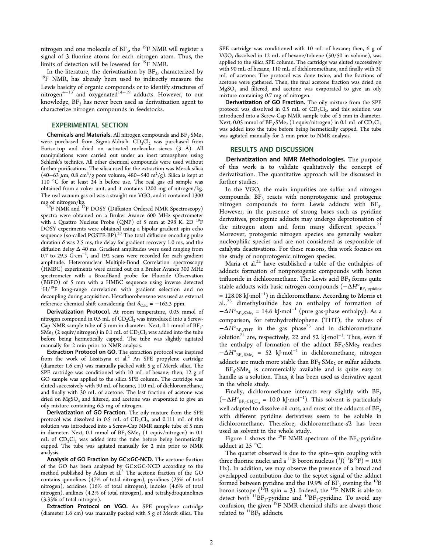<span id="page-2-0"></span>nitrogen and one molecule of  $BF_3$ , the <sup>19</sup>F NMR will register a signal of 3 fluorine atoms for each nitrogen atom. Thus, the limits of detection will be lowered for <sup>19</sup>F NMR.

In the literature, the derivatization by  $BF_3$ , characterized by <sup>19</sup>F NMR, has already been used to indirectly measure the Lewis basicity of organic compounds or to identify structures of nitrogen<sup>[4](#page-8-0)−[13](#page-8-0)</sup> and oxygenated<sup>[14](#page-8-0)−[19](#page-8-0)</sup> adducts. However, to our knowledge,  $BF<sub>3</sub>$  has never been used as derivatization agent to characterize nitrogen compounds in feedstocks.

#### EXPERIMENTAL SECTION

**Chemicals and Materials.** All nitrogen compounds and  $BF_3$ · $SMe_2$ were purchased from Sigma-Aldrich.  $CD_2Cl_2$  was purchased from Euriso-top and dried on activated molecular sieves (3 Å). All manipulations were carried out under an inert atmosphere using Schlenk's technics. All other chemical compounds were used without further purifications. The silica used for the extraction was Merck silica (40−63 μm, 0.8 cm<sup>3</sup>/g pore volume, 480−540 m<sup>2</sup>/g). Silica is kept at 110 °C for at least 24 h before use. The real gas oil sample was obtained from a coker unit, and it contains 1200 mg of nitrogen/kg. The real vacuum gas oil was a straight run VGO, and it contained 1300 mg of nitrogen/kg.

 $19$ F NMR and  $19$ F DOSY (Diffusion Ordered NMR Spectroscopy) spectra were obtained on a Bruker Avance 600 MHz spectrometer with a Quattro Nucleus Probe (QNP) of 5 mm at 298 K. 2D  $^{19}F$ DOSY experiments were obtained using a bipolar gradient spin echo sequence (so-called PGSTE-BP).<sup>[20](#page-8-0)</sup> The total diffusion encoding pulse duration  $\delta$  was 2.5 ms, the delay for gradient recovery 1.0 ms, and the diffusion delay Δ 40 ms. Gradient amplitudes were used ranging from 0.7 to 29.3 G·cm<sup>−</sup><sup>1</sup> , and 192 scans were recorded for each gradient amplitude. Heteronuclear Multiple-Bond Correlation spectroscopy (HMBC) experiments were carried out on a Bruker Avance 300 MHz spectrometer with a BroadBand probe for Fluoride Observation (BBFO) of 5 mm with a HMBC sequence using inverse detected  ${}^{1}H/{}^{19}F$  long-range correlation with gradient selection and no decoupling during acquisition. Hexafluorobenzene was used as external reference chemical shift considering that  $\delta_{\text{C}_6F_6} = -162.3$  ppm.

Derivatization Protocol. At room temperature, 0.05 mmol of nitrogen compound in 0.5 mL of  $CD_2Cl_2$  was introduced into a Screw-Cap NMR sample tube of 5 mm in diameter. Next, 0.1 mmol of BF<sub>3</sub>.  $\text{SMe}_{2} \left( 2 \text{ equiv/nitrogen} \right)$  in 0.1 mL of  $\text{CD}_{2}\text{Cl}_{2}$  was added into the tube before being hermetically capped. The tube was slightly agitated manually for 2 min prior to NMR analysis.

Extraction Protocol on GO. The extraction protocol was inspired from the work of Lissitsyna et al.<sup>[2](#page-7-0)</sup> An SPE propylene cartridge (diameter 1.6 cm) was manually packed with 5 g of Merck silica. The SPE cartridge was conditioned with 10 mL of hexane; then, 12 g of GO sample was applied to the silica SPE column. The cartridge was eluted successively with 90 mL of hexane, 110 mL of dichloromethane, and finally with 30 mL of acetone. The last fraction of acetone was dried on  $MgSO_4$  and filtered, and acetone was evaporated to give an oily mixture containing 6.3 mg of nitrogen.

Derivatization of GO Fraction. The oily mixture from the SPE protocol was dissolved in 0.5 mL of  $CD_2Cl_2$ , and 0.111 mL of this solution was introduced into a Screw-Cap NMR sample tube of 5 mm in diameter. Next, 0.1 mmol of  $\text{BF}_3\text{\textcdot}\text{S}\text{Me}_2$   $(1 \text{ equiv/nitrogen})$  in 0.1 mL of CD<sub>2</sub>Cl<sub>2</sub> was added into the tube before being hermetically capped. The tube was agitated manually for 2 min prior to NMR analysis.

Analysis of GO Fraction by GC×GC-NCD. The acetone fraction of the GO has been analyzed by GC×GC-NCD according to the method published by Adam et al.<sup>[3](#page-8-0)</sup> The acetone fraction of the GO contains quinolines (47% of total nitrogen), pyridines (25% of total nitrogen), acridines (16% of total nitrogen), indoles (4.6% of total nitrogen), anilines (4.2% of total nitrogen), and tetrahydroquinolines (3.35% of total nitrogen).

Extraction Protocol on VGO. An SPE propylene cartridge (diameter 1.6 cm) was manually packed with 5 g of Merck silica. The SPE cartridge was conditioned with 10 mL of hexane; then, 6 g of VGO, dissolved in 12 mL of hexane/toluene (50/50 in volume), was applied to the silica SPE column. The cartridge was eluted successively with 90 mL of hexane, 110 mL of dichloromethane, and finally with 30 mL of acetone. The protocol was done twice, and the fractions of acetone were gathered. Then, the final acetone fraction was dried on MgSO<sup>4</sup> and filtered, and acetone was evaporated to give an oily mixture containing 0.7 mg of nitrogen.

Derivatization of GO Fraction. The oily mixture from the SPE protocol was dissolved in 0.5 mL of  $CD_2Cl_2$ , and this solution was introduced into a Screw-Cap NMR sample tube of 5 mm in diameter. Next, 0.05 mmol of  $\rm BF_3\text{-}SMe_2$  (1 equiv/nitrogen) in 0.1 mL of  $\rm CD_2Cl_2$ was added into the tube before being hermetically capped. The tube was agitated manually for 2 min prior to NMR analysis.

### RESULTS AND DISCUSSION

Derivatization and NMR Methodologies. The purpose of this work is to validate qualitatively the concept of derivatization. The quantitative approach will be discussed in further studies.

In the VGO, the main impurities are sulfur and nitrogen compounds. BF<sub>3</sub> reacts with nonprotogenic and protogenic nitrogen compounds to form Lewis adducts with  $BF_3$ . . However, in the presence of strong bases such as pyridine derivatives, protogenic adducts may undergo deprotonation of the nitrogen atom and form many different species. $^{21}$  $^{21}$  $^{21}$ Moreover, protogenic nitrogen species are generally weaker nucleophilic species and are not considered as responsible of catalysts deactivations. For these reasons, this work focuses on the study of nonprotogenic nitrogen species.

Maria et al.<sup>[22](#page-8-0)</sup> have established a table of the enthalpies of adducts formation of nonprotogenic compounds with boron trifluoride in dichloromethane. The Lewis acid  $BF_3$  forms quite stable adducts with basic nitrogen compounds  $(-\Delta H^{\circ}_{\text{BF}_3\text{-pyridine}})$ = 128.08 kJ·mol<sup>−</sup><sup>1</sup> ) in dichloromethane. According to Morris et al., $^{23}$  $^{23}$  $^{23}$  dimethylsulfide has an enthalpy of formation of  $-\Delta H^{\circ}_{BF_3\text{-SMe}_2} = 14.6 \text{ kJ} \cdot \text{mol}^{-1}$  (pure gas-phase enthalpy). As a comparison, for tetrahydrothiophene (THT), the values of  $-\Delta H^{\circ}_{BF_3 THT}$  in the gas phase<sup>[23](#page-8-0)</sup> and in dichloromethane solution<sup>[24](#page-8-0)</sup> are, respectively, 22 and 52 kJ·mol<sup>-1</sup>. Thus, even if the enthalpy of formation of the adduct BF<sub>3</sub>.SMe<sub>2</sub> reaches  $-\Delta H^{\circ}_{BF_3\text{-}SMe_2}$  = 52 kJ·mol<sup>-1</sup> in dichloromethane, nitrogen adducts are much more stable than  $BF_3$ · $SMe_2$  or sulfur adducts.

BF<sub>3</sub>·SMe<sub>2</sub> is commercially available and is quite easy to handle as a solution. Thus, it has been used as derivative agent in the whole study.

Finally, dichloromethane interacts very slightly with  $BF_3$  $(-\Delta H^{\circ}_{BE_3\text{-CH}_2\text{Cl}_2} = 10.0 \text{ kJ/mol}^{-1})$ . This solvent is particularly well adapted to dissolve oil cuts, and most of the adducts of BF<sub>3</sub> with different pyridine derivatives seem to be soluble in dichloromethane. Therefore, dichloromethane-d2 has been used as solvent in the whole study.

[Figure 1](#page-3-0) shows the  $^{19}$ F NMR spectrum of the BF<sub>3</sub>-pyridine adduct at 25 °C.

The quartet observed is due to the spin−spin coupling with three fluorine nuclei and a <sup>11</sup>B boron nucleus  $(1/(11B^{15}F)) = 10.5$ Hz). In addition, we may observe the presence of a broad and overlapped contribution due to the septet signal of the adduct formed between pyridine and the 19.9% of  $BF_3$  owning the  $^{10}B$ boron isotope ( $^{10}$ B spin = 3). Indeed, the <sup>19</sup>F NMR is able to detect both  ${}^{11}BF_3$ -pyridine and  ${}^{10}BF_3$ -pyridine. To avoid any confusion, the given  $19F$  NMR chemical shifts are always those related to  ${}^{11}BF_3$  adducts.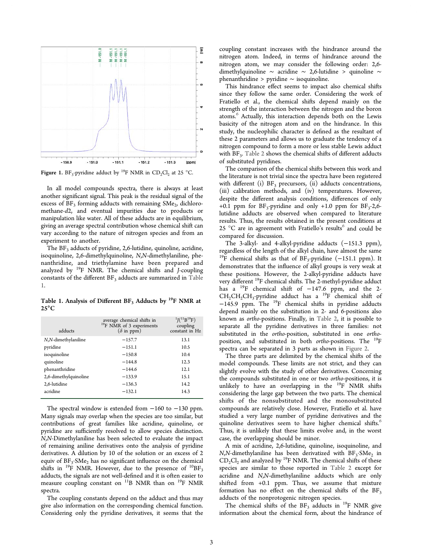<span id="page-3-0"></span>

**Figure 1.** BF<sub>3</sub>-pyridine adduct by <sup>19</sup>F NMR in  $CD_2Cl_2$  at 25 °C.

In all model compounds spectra, there is always at least another significant signal. This peak is the residual signal of the excess of  $BF_3$  forming adducts with remaining  $SMe<sub>2</sub>$ , dichloromethane-d2, and eventual impurities due to products or manipulation like water. All of these adducts are in equilibrium, giving an average spectral contribution whose chemical shift can vary according to the nature of nitrogen species and from an experiment to another.

The BF<sub>3</sub> adducts of pyridine, 2,6-lutidine, quinoline, acridine, isoquinoline, 2,6-dimethylquinoline, N,N-dimethylaniline, phenanthridine, and triethylamine have been prepared and analyzed by  $^{19}$ F NMR. The chemical shifts and *J*-coupling constants of the different  $BF_3$  adducts are summarized in Table 1.

Table 1. Analysis of Different  $BF_3$  Adducts by <sup>19</sup>F NMR at  $25^{\circ}$ C

| adducts               | average chemical shifts in<br><sup>19</sup> F NMR of 3 experiments<br>$(\delta$ in ppm) | $^{1}$ <i>J</i> ( $^{11}$ B <sup>19</sup> F)<br>coupling<br>constant in Hz |
|-----------------------|-----------------------------------------------------------------------------------------|----------------------------------------------------------------------------|
| N,N-dimethylaniline   | $-157.7$                                                                                | 13.1                                                                       |
| pyridine              | $-151.1$                                                                                | 10.5                                                                       |
| isoquinoline          | $-150.8$                                                                                | 10.4                                                                       |
| quinoline             | $-144.8$                                                                                | 12.3                                                                       |
| phenanthridine        | $-144.6$                                                                                | 12.1                                                                       |
| 2,6-dimethylquinoline | $-133.9$                                                                                | 15.1                                                                       |
| 2,6-lutidine          | $-136.3$                                                                                | 14.2                                                                       |
| acridine              | $-132.1$                                                                                | 14.3                                                                       |

The spectral window is extended from −160 to −130 ppm. Many signals may overlap when the species are too similar, but contributions of great families like acridine, quinoline, or pyridine are sufficiently resolved to allow species distinction. N,N-Dimethylaniline has been selected to evaluate the impact of remaining aniline derivatives onto the analysis of pyridine derivatives. A dilution by 10 of the solution or an excess of 2 equiv of  $BF_3$ ·SMe<sub>2</sub> has no significant influence on the chemical shifts in <sup>19</sup>F NMR. However, due to the presence of <sup>10</sup>BF<sub>3</sub> adducts, the signals are not well-defined and it is often easier to measure coupling constant on <sup>11</sup>B NMR than on <sup>19</sup>F NMR spectra.

The coupling constants depend on the adduct and thus may give also information on the corresponding chemical function. Considering only the pyridine derivatives, it seems that the

coupling constant increases with the hindrance around the nitrogen atom. Indeed, in terms of hindrance around the nitrogen atom, we may consider the following order: 2,6 dimethylquinoline ∼ acridine ∼ 2,6-lutidine > quinoline ∼ phenanthridine > pyridine ∼ isoquinoline.

This hindrance effect seems to impact also chemical shifts since they follow the same order. Considering the work of Fratiello et al., the chemical shifts depend mainly on the strength of the interaction between the nitrogen and the boron atoms.<sup>[6](#page-8-0)</sup> Actually, this interaction depends both on the Lewis basicity of the nitrogen atom and on the hindrance. In this study, the nucleophilic character is defined as the resultant of these 2 parameters and allows us to graduate the tendency of a nitrogen compound to form a more or less stable Lewis adduct with  $BF_3$ . [Table 2](#page-4-0) shows the chemical shifts of different adducts of substituted pyridines.

The comparison of the chemical shifts between this work and the literature is not trivial since the spectra have been registered with different (i)  $BF_3$  precursors, (ii) adducts concentrations, (iii) calibration methods, and (iv) temperatures. However, despite the different analysis conditions, differences of only +0.1 ppm for  $BF_3$ -pyridine and only +1.0 ppm for  $BF_3$ -2,6lutidine adducts are observed when compared to literature results. Thus, the results obtained in the present conditions at 25 °C are in agreement with Fratiello's results<sup>[6](#page-8-0)</sup> and could be compared for discussion.

The 3-alkyl- and 4-alkyl-pyridine adducts (−151.3 ppm), regardless of the length of the alkyl chain, have almost the same <sup>19</sup>F chemical shifts as that of  $BF_3$ -pyridine (-151.1 ppm). It demonstrates that the influence of alkyl groups is very weak at these positions. However, the 2-alkyl-pyridine adducts have very different <sup>19</sup>F chemical shifts. The 2-methyl-pyridine adduct has a <sup>19</sup>F chemical shift of −147.6 ppm, and the 2-  $CH_2CH_2CH_3$ -pyridine adduct has a  $^{19}F$  chemical shift of −145.9 ppm. The <sup>19</sup>F chemical shifts in pyridine adducts depend mainly on the substitution in 2- and 6-positions also known as ortho-positions. Finally, in [Table 2,](#page-4-0) it is possible to separate all the pyridine derivatives in three families: not substituted in the ortho-position, substituted in one orthoposition, and substituted in both *ortho-positions*. The <sup>19</sup>F spectra can be separated in 3 parts as shown in [Figure 2.](#page-4-0)

The three parts are delimited by the chemical shifts of the model compounds. These limits are not strict, and they can slightly evolve with the study of other derivatives. Concerning the compounds substituted in one or two ortho-positions, it is unlikely to have an overlapping in the  $^{19}F$  NMR shifts considering the large gap between the two parts. The chemical shifts of the nonsubstituted and the monosubstituted compounds are relatively close. However, Fratiello et al. have studied a very large number of pyridine derivatives and the quinoline derivatives seem to have higher chemical shifts.<sup>[6](#page-8-0)</sup> Thus, it is unlikely that these limits evolve and, in the worst case, the overlapping should be minor.

A mix of acridine, 2,6-lutidine, quinoline, isoquinoline, and  $N$ , $N$ -dimethylaniline has been derivatized with  $BF_3$ · $SMe_2$  in  $CD_2Cl_2$  and analyzed by <sup>19</sup>F NMR. The chemical shifts of these species are similar to those reported in [Table 2](#page-4-0) except for acridine and N,N-dimethylaniline adducts which are only shifted from +0.1 ppm. Thus, we assume that mixture formation has no effect on the chemical shifts of the  $BF<sub>3</sub>$ adducts of the nonprotogenic nitrogen species.

The chemical shifts of the  $BF_3$  adducts in <sup>19</sup>F NMR give information about the chemical form, about the hindrance of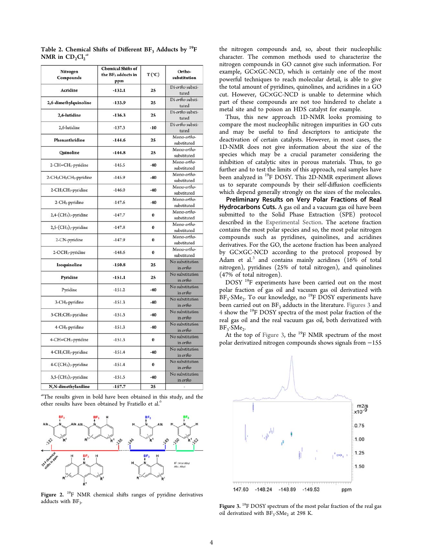| Nitrogen<br>Compounds                                       | <b>Chemical Shifts of</b><br>the BF <sub>3</sub> adducts in<br>ppm | $T(^{\circ}C)$ | Ortho-<br>substitution      |
|-------------------------------------------------------------|--------------------------------------------------------------------|----------------|-----------------------------|
| Acridine                                                    | $-132.1$                                                           | 25             | Di-ortho substi-<br>tuted   |
| 2,6-dimethylquinoline                                       | $-133.9$                                                           | 25             | Di-ortho substi-<br>tuted   |
| 2,6-lutidine                                                | $-136.3$                                                           | 25             | Di-ortho substi-<br>tuted   |
| 2,6-lutidine                                                | $-137.3$                                                           | $-10$          | Di-ortho substi-<br>tuted   |
| Phenanthridine                                              | $-144.6$                                                           | 25             | Mono-ortho-<br>substituted  |
| Quinoline                                                   | $-144.8$                                                           | 25             | Mono-ortho-<br>substituted  |
| 2-CH=CH <sub>2</sub> -pyridine                              | $-145.5$                                                           | $-40$          | Mono-ortho-<br>substituted  |
| 2-CH <sub>2</sub> CH <sub>2</sub> CH <sub>3</sub> -pyridine | $-145.9$                                                           | $-40$          | Mono-ortho-<br>substituted  |
| 2-CH <sub>2</sub> CH <sub>3</sub> -pyridine                 | $-146.0$                                                           | $-40$          | Mono-ortho-<br>substituted  |
| 2-CH <sub>3</sub> -pyridine                                 | $-147.6$                                                           | $-40$          | Mono-ortho-<br>substituted  |
| $2,4$ - $(CH3)2$ -pyridine                                  | $-147.7$                                                           | $\bf{0}$       | Mono-ortho-<br>substituted  |
| $2,5$ - $(CH3)2$ -pyridine                                  | $-147.8$                                                           | $\bf{0}$       | Mono-ortho-<br>substituted  |
| 2-CN-pyridine                                               | $-147.9$                                                           | $\bf{0}$       | Mono-ortho-<br>substituted  |
| 2-OCH <sub>3</sub> -pyridine                                | $-148.6$                                                           | $\bf{0}$       | Mono-ortho-<br>substituted  |
| Isoquinoline                                                | $-150.8$                                                           | 25             | No substitution<br>in ortho |
| Pyridine                                                    | $-151.1$                                                           | 25             | No substitution<br>in ortho |
| Pyridine                                                    | $-151.2$                                                           | $-40$          | No substitution<br>in ortho |
| 3-CH <sub>3</sub> -pyridine                                 | $-151.3$                                                           | $-40$          | No substitution<br>in ortho |
| 3-CH <sub>2</sub> CH <sub>3</sub> -pyridine                 | $-151.3$                                                           | $-40$          | No substitution<br>in ortho |
| 4-CH <sub>3</sub> -pyridine                                 | $-151.3$                                                           | $-40$          | No substitution<br>in ortho |
| 4-CH=CH <sub>2</sub> -pyridine                              | $-151.3$                                                           | 0              | No substitution<br>in ortho |
| 4-CH <sub>2</sub> CH <sub>3</sub> -pyridine                 | $-151.4$                                                           | $-40$          | No substitution<br>in ortho |
| 4-C(CH <sub>3</sub> ) <sub>3</sub> -pyridine                | $-151.4$                                                           | $\bf{0}$       | No substitution<br>in ortho |
| $3,5$ - $(CH3)2$ -pyridine                                  | $-151.5$                                                           | $-40$          | No substitution<br>in ortho |
| N,N-dimethylaniline                                         | $-157.7$                                                           | 25             | ì,                          |

<span id="page-4-0"></span>Table 2. Chemical Shifts of Different  $BF_3$  Adducts by <sup>19</sup>F NMR in  $CD_2Cl_2^a$ 

<sup>a</sup>The results given in bold have been obtained in this study, and the other results have been obtained by Fratiello et al.<sup>[6](#page-8-0)</sup>



Figure 2. <sup>19</sup>F NMR chemical shifts ranges of pyridine derivatives adducts with  $BF<sub>2</sub>$ . .

the nitrogen compounds and, so, about their nucleophilic character. The common methods used to characterize the nitrogen compounds in GO cannot give such information. For example, GC×GC-NCD, which is certainly one of the most powerful techniques to reach molecular detail, is able to give the total amount of pyridines, quinolines, and acridines in a GO cut. However, GC×GC-NCD is unable to determine which part of these compounds are not too hindered to chelate a metal site and to poison an HDS catalyst for example.

Thus, this new approach 1D-NMR looks promising to compare the most nucleophilic nitrogen impurities in GO cuts and may be useful to find descriptors to anticipate the deactivation of certain catalysts. However, in most cases, the 1D-NMR does not give information about the size of the species which may be a crucial parameter considering the inhibition of catalytic sites in porous materials. Thus, to go further and to test the limits of this approach, real samples have been analyzed in <sup>19</sup>F DOSY. This 2D-NMR experiment allows us to separate compounds by their self-diffusion coefficients which depend generally strongly on the sizes of the molecules.

Preliminary Results on Very Polar Fractions of Real Hydrocarbons Cuts. A gas oil and a vacuum gas oil have been submitted to the Solid Phase Extraction (SPE) protocol described in the [Experimental Section.](#page-2-0) The acetone fraction contains the most polar species and so, the most polar nitrogen compounds such as pyridines, quinolines, and acridines derivatives. For the GO, the acetone fraction has been analyzed by GC×GC-NCD according to the protocol proposed by Adam et al. $3$  and contains mainly acridines (16% of total nitrogen), pyridines (25% of total nitrogen), and quinolines (47% of total nitrogen).

DOSY <sup>19</sup>F experiments have been carried out on the most polar fraction of gas oil and vacuum gas oil derivatized with BF<sub>3</sub>·SMe<sub>2</sub>. To our knowledge, no <sup>19</sup>F DOSY experiments have been carried out on  $BF_3$  adducts in the literature. Figures 3 and [4](#page-5-0) show the <sup>19</sup>F DOSY spectra of the most polar fraction of the real gas oil and the real vacuum gas oil, both derivatized with  $BF_3 \cdot$ SMe<sub>2</sub> .

At the top of Figure 3, the  $^{19}$ F NMR spectrum of the most polar derivatized nitrogen compounds shows signals from −155



Figure 3. <sup>19</sup>F DOSY spectrum of the most polar fraction of the real gas oil derivatized with  $BF_3$ ·SMe<sub>2</sub> at 298 K.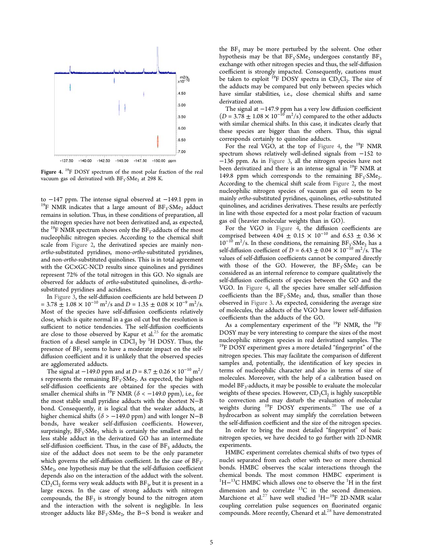<span id="page-5-0"></span>

Figure 4. <sup>19</sup>F DOSY spectrum of the most polar fraction of the real vacuum gas oil derivatized with BF<sub>3</sub>.SMe<sub>2</sub> at 298 K.

to −147 ppm. The intense signal observed at −149.1 ppm in <sup>19</sup>F NMR indicates that a large amount of  $BF_3$ ·SMe<sub>2</sub> adduct remains in solution. Thus, in these conditions of preparation, all the nitrogen species have not been derivatized and, as expected, the <sup>19</sup>F NMR spectrum shows only the  $BF_3$ -adducts of the most nucleophilic nitrogen species. According to the chemical shift scale from [Figure 2,](#page-4-0) the derivatized species are mainly nonortho-substituted pyridines, mono-ortho-substituted pyridines, and non-ortho-substituted quinolines. This is in total agreement with the GC×GC-NCD results since quinolines and pyridines represent 72% of the total nitrogen in this GO. No signals are observed for adducts of ortho-substituted quinolines, di-orthosubstituted pyridines and acridines.

In [Figure 3,](#page-4-0) the self-diffusion coefficients are held between D  $= 3.78 \pm 1.08 \times 10^{-10} \text{ m}^2/\text{s}$  and  $D = 1.35 \pm 0.08 \times 10^{-9} \text{ m}^2/\text{s}$ . Most of the species have self-diffusion coefficients relatively close, which is quite normal in a gas oil cut but the resolution is sufficient to notice tendencies. The self-diffusion coefficients are close to those observed by Kapur et al.<sup>[25](#page-8-0)</sup> for the aromatic fraction of a diesel sample in CDCl<sub>3</sub> by <sup>1</sup>H DOSY. Thus, the presence of  $BF_3$  seems to have a moderate impact on the selfdiffusion coefficient and it is unlikely that the observed species are agglomerated adducts.

The signal at −149.0 ppm and at D = 8.7 ± 0.26  $\times$  10<sup>-10</sup> m<sup>2</sup>/ s represents the remaining  $BF_3$ ·SMe<sub>2</sub>. As expected, the highest self-diffusion coefficients are obtained for the species with smaller chemical shifts in <sup>19</sup>F NMR ( $\delta$  < -149.0 ppm), i.e., for the most stable small pyridine adducts with the shortest N−B bond. Consequently, it is logical that the weaker adducts, at higher chemical shifts ( $\delta$  > −149.0 ppm) and with longer N−B bonds, have weaker self-diffusion coefficients. However, surprisingly,  $BF_3$ · $SMe_2$  which is certainly the smallest and the less stable adduct in the derivatized GO has an intermediate self-diffusion coefficient. Thus, in the case of  $BF_3$  adducts, the size of the adduct does not seem to be the only parameter which governs the self-diffusion coefficient. In the case of  $BF_3$ .  $SMe<sub>2</sub>$ , one hypothesis may be that the self-diffusion coefficient depends also on the interaction of the adduct with the solvent.  $\text{CD}_2\text{Cl}_2$  forms very weak adducts with  $\text{BF}_3$ , but it is present in a large excess. In the case of strong adducts with nitrogen compounds, the  $BF_3$  is strongly bound to the nitrogen atom and the interaction with the solvent is negligible. In less stronger adducts like  $BF_3$ · $SMe_2$ , the B–S bond is weaker and

the  $BF_3$  may be more perturbed by the solvent. One other hypothesis may be that  $BF_3$ ·SMe<sub>2</sub> undergoes constantly  $BF_3$ exchange with other nitrogen species and thus, the self-diffusion coefficient is strongly impacted. Consequently, cautions must be taken to exploit <sup>19</sup>F DOSY spectra in  $CD_2Cl_2$ . The size of the adducts may be compared but only between species which have similar stabilities, i.e., close chemical shifts and same derivatized atom.

The signal at −147.9 ppm has a very low diffusion coefficient  $(D = 3.78 \pm 1.08 \times 10^{-10} \text{ m}^2/\text{s})$  compared to the other adducts with similar chemical shifts. In this case, it indicates clearly that these species are bigger than the others. Thus, this signal corresponds certainly to quinoline adducts.

For the real VGO, at the top of Figure 4, the <sup>19</sup>F NMR spectrum shows relatively well-defined signals from −152 to −136 ppm. As in [Figure 3](#page-4-0), all the nitrogen species have not been derivatized and there is an intense signal in <sup>19</sup>F NMR at 149.8 ppm which corresponds to the remaining  $BF_3$ ·SMe<sub>2</sub> . According to the chemical shift scale from [Figure 2,](#page-4-0) the most nucleophilic nitrogen species of vacuum gas oil seem to be mainly ortho-substituted pyridines, quinolines, ortho-substituted quinolines, and acridines derivatives. These results are perfectly in line with those expected for a most polar fraction of vacuum gas oil (heavier molecular weights than in GO).

For the VGO in Figure 4, the diffusion coefficients are comprised between 4.04  $\pm$  0.15 × 10<sup>-10</sup> and 6.53  $\pm$  0.36 ×  $10^{-10}$  m<sup>2</sup>/s. In these conditions, the remaining BF<sub>3</sub>: SM<sub>e<sub>2</sub></sub> has a self-diffusion coefficient of  $D = 6.43 \pm 0.04 \times 10^{-10} \text{ m}^2/\text{s}$ . The values of self-diffusion coefficients cannot be compared directly with those of the GO. However, the  $BF_3$ · $SMe_2$  can be considered as an internal reference to compare qualitatively the self-diffusion coefficients of species between the GO and the VGO. In Figure 4, all the species have smaller self-diffusion coefficients than the  $BF_3$ · $SMe_2$  and, thus, smaller than those observed in [Figure 3](#page-4-0). As expected, considering the average size of molecules, the adducts of the VGO have lower self-diffusion coefficients than the adducts of the GO.

As a complementary experiment of the <sup>19</sup>F NMR, the <sup>19</sup>F DOSY may be very interesting to compare the sizes of the most nucleophilic nitrogen species in real derivatized samples. The <sup>19</sup>F DOSY experiment gives a more detailed "fingerprint" of the nitrogen species. This may facilitate the comparison of different samples and, potentially, the identification of key species in terms of nucleophilic character and also in terms of size of molecules. Moreover, with the help of a calibration based on model BF<sup>3</sup> -adducts, it may be possible to evaluate the molecular weights of these species. However,  $CD_2Cl_2$  is highly susceptible to convection and may disturb the evaluation of molecular weights during  $^{19}$ F DOSY experiments.<sup>[26](#page-8-0)</sup> The use of a hydrocarbon as solvent may simplify the correlation between the self-diffusion coefficient and the size of the nitrogen species.

In order to bring the most detailed "fingerprint" of basic nitrogen species, we have decided to go further with 2D-NMR experiments.

HMBC experiment correlates chemical shifts of two types of nuclei separated from each other with two or more chemical bonds. HMBC observes the scalar interactions through the chemical bonds. The most common HMBC experiment is  $1H-13C$  HMBC which allows one to observe the  $1H$  in the first dimension and to correlate  $^{13}$ C in the second dimension. Marchione et al.<sup>[27](#page-8-0)</sup> have well studied <sup>1</sup>H<sup>-19</sup>F 2D-NMR scalar coupling correlation pulse sequences on fluorinated organic compounds. More recently, Chenard et al.<sup>[28](#page-8-0)</sup> have demonstrated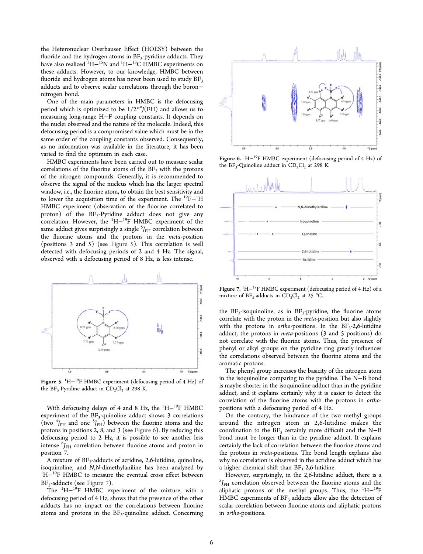the Heteronuclear Overhauser Effect (HOESY) between the fluoride and the hydrogen atoms in BF<sub>3</sub>-pyridine adducts. They have also realized  ${}^{1}H-{}^{15}N$  and  ${}^{1}H-{}^{13}C$  HMBC experiments on these adducts. However, to our knowledge, HMBC between fluoride and hydrogen atoms has never been used to study  $BF<sub>3</sub>$ adducts and to observe scalar correlations through the boron− nitrogen bond.

One of the main parameters in HMBC is the defocusing period which is optimized to be  $1/2^{*n}J(FH)$  and allows us to measuring long-range H−F coupling constants. It depends on the nuclei observed and the nature of the molecule. Indeed, this defocusing period is a compromised value which must be in the same order of the coupling constants observed. Consequently, as no information was available in the literature, it has been varied to find the optimum in each case.

HMBC experiments have been carried out to measure scalar correlations of the fluorine atoms of the  $BF<sub>3</sub>$  with the protons of the nitrogen compounds. Generally, it is recommended to observe the signal of the nucleus which has the larger spectral window, i.e., the fluorine atom, to obtain the best sensitivity and to lower the acquisition time of the experiment. The <sup>19</sup>F<sup>−1</sup>H HMBC experiment (observation of the fluorine correlated to  $\text{proton}$ ) of the BF<sub>3</sub>-Pyridine adduct does not give any correlation. However, the <sup>1</sup>H−<sup>19</sup>F HMBC experiment of the same adduct gives surprisingly a single  ${}^{5}\!J_{\rm{FH}}$  correlation between the fluorine atoms and the protons in the meta-position (positions 3 and 5) (see Figure 5). This correlation is well detected with defocusing periods of 2 and 4 Hz. The signal, observed with a defocusing period of 8 Hz, is less intense.



Figure 5. <sup>1</sup>H−<sup>19</sup>F HMBC experiment (defocusing period of 4 Hz) of the  $BF_3$ -Pyridine adduct in  $CD_2Cl_2$  at 298 K.

With defocusing delays of 4 and 8 Hz, the <sup>1</sup>H−<sup>19</sup>F HMBC experiment of the BF<sub>3</sub>-quinoline adduct shows 3 correlations (two  ${}^{4}J_{\text{FH}}$  and one  ${}^{5}J_{\text{FH}}$ ) between the fluorine atoms and the protons in positions 2, 8, and 3 (see Figure 6). By reducing this defocusing period to 2 Hz, it is possible to see another less intense  $\binom{6}{F_{\text{H}}}$  correlation between fluorine atoms and proton in position 7.

A mixture of BF<sub>3</sub>-adducts of acridine, 2,6-lutidine, quinoline, isoquinoline, and N,N-dimethylaniline has been analyzed by <sup>1</sup>H<sup>-19</sup>F HMBC to measure the eventual cross effect between BF<sub>3</sub>-adducts (see Figure 7).

The  $1H-19F$  HMBC experiment of the mixture, with a defocusing period of 4 Hz, shows that the presence of the other adducts has no impact on the correlations between fluorine atoms and protons in the BF<sub>3</sub>-quinoline adduct. Concerning



Figure 6. <sup>1</sup>H-<sup>19</sup>F HMBC experiment (defocusing period of 4 Hz) of the  $BF_3$ -Quinoline adduct in  $CD_2Cl_2$  at 298 K.



Figure 7. <sup>1</sup>H-<sup>19</sup>F HMBC experiment (defocusing period of 4 Hz) of a mixture of  $BF_3$ -adducts in  $CD_2Cl_2$  at 25 °C.

the  $BF_3$ -isoquinoline, as in  $BF_3$ -pyridine, the fluorine atoms correlate with the proton in the meta-position but also slightly with the protons in *ortho-positions*. In the  $BF_3-2,6$ -lutidine adduct, the protons in meta-positions (3 and 5 positions) do not correlate with the fluorine atoms. Thus, the presence of phenyl or alkyl groups on the pyridine ring greatly influences the correlations observed between the fluorine atoms and the aromatic protons.

The phenyl group increases the basicity of the nitrogen atom in the isoquinoline comparing to the pyridine. The N−B bond is maybe shorter in the isoquinoline adduct than in the pyridine adduct, and it explains certainly why it is easier to detect the correlation of the fluorine atoms with the protons in orthopositions with a defocusing period of 4 Hz.

On the contrary, the hindrance of the two methyl groups around the nitrogen atom in 2,6-lutidine makes the coordination to the  $BF_3$  certainly more difficult and the N-B bond must be longer than in the pyridine adduct. It explains certainly the lack of correlation between the fluorine atoms and the protons in meta-positions. The bond length explains also why no correlation is observed in the acridine adduct which has a higher chemical shift than  $BF_3-2,6$ -lutidine.

However, surprisingly, in the 2,6-lutidine adduct, there is a  ${}^{5}J_{\text{FH}}$  correlation observed between the fluorine atoms and the aliphatic protons of the methyl groups. Thus, the <sup>1</sup>H<sup>-19</sup>F HMBC experiments of  $BF_3$  adducts allow also the detection of scalar correlation between fluorine atoms and aliphatic protons in ortho-positions.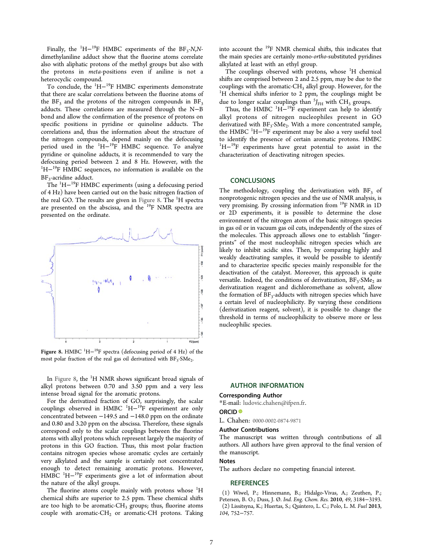<span id="page-7-0"></span>Finally, the  ${}^{1}H-{}^{19}F$  HMBC experiments of the BF<sub>3</sub>-N,Ndimethylaniline adduct show that the fluorine atoms correlate also with aliphatic protons of the methyl groups but also with the protons in meta-positions even if aniline is not a heterocyclic compound.

To conclude, the <sup>1</sup>H<sup>-19</sup>F HMBC experiments demonstrate that there are scalar correlations between the fluorine atoms of the  $BF_3$  and the protons of the nitrogen compounds in  $BF_3$ adducts. These correlations are measured through the N−B bond and allow the confirmation of the presence of protons on specific positions in pyridine or quinoline adducts. The correlations and, thus the information about the structure of the nitrogen compounds, depend mainly on the defocusing period used in the <sup>1</sup>H<sup>-19</sup>F HMBC sequence. To analyze pyridine or quinoline adducts, it is recommended to vary the defocusing period between 2 and 8 Hz. However, with the <sup>1</sup>H<sup>-19</sup>F HMBC sequences, no information is available on the BF<sub>3</sub>-acridine adduct.

The <sup>1</sup>H− <sup>19</sup>F HMBC experiments (using a defocusing period of 4 Hz) have been carried out on the basic nitrogen fraction of the real GO. The results are given in Figure 8. The  ${}^{1}H$  spectra are presented on the abscissa, and the <sup>19</sup>F NMR spectra are presented on the ordinate.



Figure 8. HMBC <sup>1</sup>H−<sup>19</sup>F spectra (defocusing period of 4 Hz) of the most polar fraction of the real gas oil derivatized with  $BF_3$ · $SMe_2$ .

In Figure 8, the <sup>1</sup>H NMR shows significant broad signals of alkyl protons between 0.70 and 3.50 ppm and a very less intense broad signal for the aromatic protons.

For the derivatized fraction of GO, surprisingly, the scalar couplings observed in HMBC <sup>1</sup>H<sup>-19</sup>F experiment are only concentrated between −149.5 and −148.0 ppm on the ordinate and 0.80 and 3.20 ppm on the abscissa. Therefore, these signals correspond only to the scalar couplings between the fluorine atoms with alkyl protons which represent largely the majority of protons in this GO fraction. Thus, this most polar fraction contains nitrogen species whose aromatic cycles are certainly very alkylated and the sample is certainly not concentrated enough to detect remaining aromatic protons. However, HMBC<sup>1</sup>H<sup>-19</sup>F experiments give a lot of information about the nature of the alkyl groups.

The fluorine atoms couple mainly with protons whose  ${}^{1}$ H chemical shifts are superior to 2.5 ppm. These chemical shifts are too high to be aromatic-CH<sub>3</sub> groups; thus, fluorine atoms couple with aromatic-CH<sub>2</sub> or aromatic-CH protons. Taking into account the <sup>19</sup>F NMR chemical shifts, this indicates that the main species are certainly mono-ortho-substituted pyridines alkylated at least with an ethyl group.

The couplings observed with protons, whose  $H$  chemical shifts are comprised between 2 and 2.5 ppm, may be due to the couplings with the aromatic- $CH<sub>3</sub>$  alkyl group. However, for the  ${}^{1}$ H chemical shifts inferior to 2 ppm, the couplings might be due to longer scalar couplings than  ${}^{5}J_{\text{FH}}$  with CH<sub>3</sub> groups.

Thus, the HMBC  ${}^{1}H-{}^{19}F$  experiment can help to identify alkyl protons of nitrogen nucleophiles present in GO derivatized with BF<sub>3</sub>. SMe<sub>2</sub>. With a more concentrated sample, the HMBC<sup>1</sup>H<sup>-19</sup>F experiment may be also a very useful tool to identify the presence of certain aromatic protons. HMBC <sup>1</sup>H<sup>-19</sup>F experiments have great potential to assist in the characterization of deactivating nitrogen species.

### **CONCLUSIONS**

The methodology, coupling the derivatization with  $BF<sub>3</sub>$  of nonprotogenic nitrogen species and the use of NMR analysis, is very promising. By crossing information from <sup>19</sup>F NMR in 1D or 2D experiments, it is possible to determine the close environment of the nitrogen atom of the basic nitrogen species in gas oil or in vacuum gas oil cuts, independently of the sizes of the molecules. This approach allows one to establish "fingerprints" of the most nucleophilic nitrogen species which are likely to inhibit acidic sites. Then, by comparing highly and weakly deactivating samples, it would be possible to identify and to characterize specific species mainly responsible for the deactivation of the catalyst. Moreover, this approach is quite versatile. Indeed, the conditions of derivatization,  $BF_3$  SMe<sub>2</sub> as derivatization reagent and dichloromethane as solvent, allow the formation of BF<sub>3</sub>-adducts with nitrogen species which have a certain level of nucleophilicity. By varying these conditions (derivatization reagent, solvent), it is possible to change the threshold in terms of nucleophilicity to observe more or less nucleophilic species.

#### AUTHOR INFORMATION

#### Corresponding Author

\*E-mail: [ludovic.chahen@ifpen.fr](mailto:ludovic.chahen@ifpen.fr).

#### ORCID<sup>®</sup>

L. Chahen: [0000-0002-0874-9871](http://orcid.org/0000-0002-0874-9871)

#### Author Contributions

The manuscript was written through contributions of all authors. All authors have given approval to the final version of the manuscript.

## Notes

The authors declare no competing financial interest.

#### **REFERENCES**

(1) Wiwel, P.; Hinnemann, B.; Hidalgo-Vivas, A.; Zeuthen, P.; Petersen, B. O.; Duss, J. Ø. Ind. Eng. Chem. Res. 2010, 49, 3184−3193. (2) Lissitsyna, K.; Huertas, S.; Quintero, L. C.; Polo, L. M. Fuel 2013, 104, 752−757.